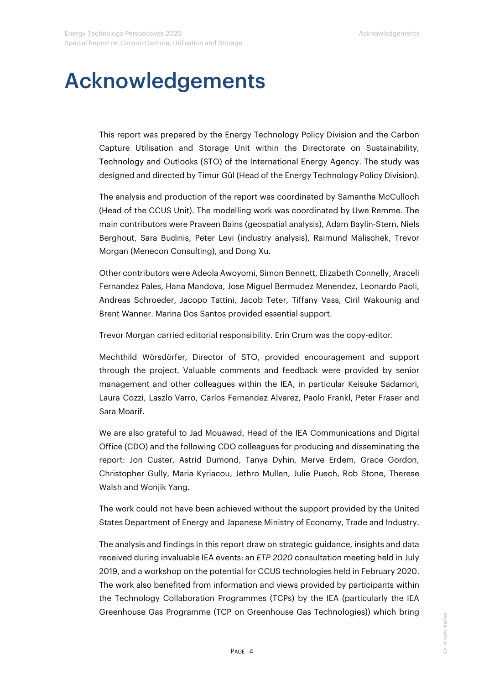## Acknowledgements

This report was prepared by the Energy Technology Policy Division and the Carbon Capture Utilisation and Storage Unit within the Directorate on Sustainability, Technology and Outlooks (STO) of the International Energy Agency. The study was designed and directed by Timur Gül (Head of the Energy Technology Policy Division).

The analysis and production of the report was coordinated by Samantha McCulloch (Head of the CCUS Unit). The modelling work was coordinated by Uwe Remme. The main contributors were Praveen Bains (geospatial analysis), Adam Baylin-Stern, Niels Berghout, Sara Budinis, Peter Levi (industry analysis), Raimund Malischek, Trevor Morgan (Menecon Consulting), and Dong Xu.

Other contributors were Adeola Awoyomi, Simon Bennett, Elizabeth Connelly, Araceli Fernandez Pales, Hana Mandova, Jose Miguel Bermudez Menendez, Leonardo Paoli, Andreas Schroeder, Jacopo Tattini, Jacob Teter, Tiffany Vass, Ciril Wakounig and Brent Wanner. Marina Dos Santos provided essential support.

Trevor Morgan carried editorial responsibility. Erin Crum was the copy-editor.

Mechthild Wörsdörfer, Director of STO, provided encouragement and support through the project. Valuable comments and feedback were provided by senior management and other colleagues within the IEA, in particular Keisuke Sadamori, Laura Cozzi, Laszlo Varro, Carlos Fernandez Alvarez, Paolo Frankl, Peter Fraser and Sara Moarif.

We are also grateful to Jad Mouawad, Head of the IEA Communications and Digital Office (CDO) and the following CDO colleagues for producing and disseminating the report: Jon Custer, Astrid Dumond, Tanya Dyhin, Merve Erdem, Grace Gordon, Christopher Gully, Maria Kyriacou, Jethro Mullen, Julie Puech, Rob Stone, Therese Walsh and Wonjik Yang.

The work could not have been achieved without the support provided by the United States Department of Energy and Japanese Ministry of Economy, Trade and Industry.

The analysis and findings in this report draw on strategic guidance, insights and data received during invaluable IEA events: an *ETP 2020* consultation meeting held in July 2019, and a workshop on the potential for CCUS technologies held in February 2020. The work also benefited from information and views provided by participants within the Technology Collaboration Programmes (TCPs) by the IEA (particularly the IEA Greenhouse Gas Programme (TCP on Greenhouse Gas Technologies)) which bring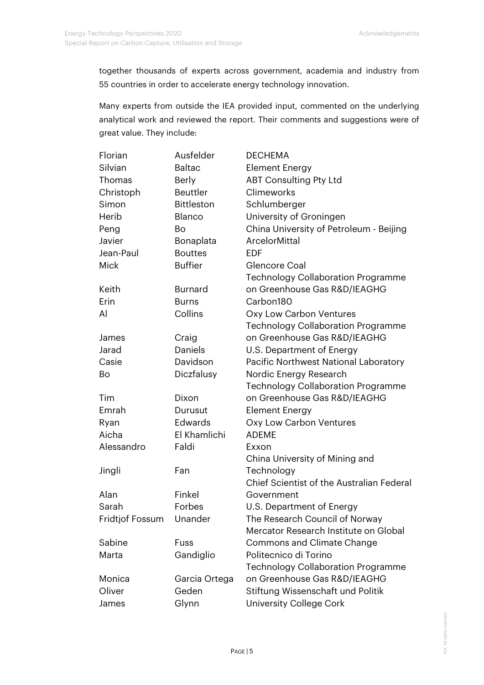together thousands of experts across government, academia and industry from 55 countries in order to accelerate energy technology innovation.

Many experts from outside the IEA provided input, commented on the underlying analytical work and reviewed the report. Their comments and suggestions were of great value. They include:

| Florian         | Ausfelder         | <b>DECHEMA</b>                            |
|-----------------|-------------------|-------------------------------------------|
| Silvian         | <b>Baltac</b>     | <b>Element Energy</b>                     |
| Thomas          | Berly             | <b>ABT Consulting Pty Ltd</b>             |
| Christoph       | <b>Beuttler</b>   | Climeworks                                |
| Simon           | <b>Bittleston</b> | Schlumberger                              |
| Herib           | Blanco            | University of Groningen                   |
| Peng            | Bo                | China University of Petroleum - Beijing   |
| Javier          | Bonaplata         | <b>ArcelorMittal</b>                      |
| Jean-Paul       | <b>Bouttes</b>    | EDF                                       |
| <b>Mick</b>     | <b>Buffier</b>    | Glencore Coal                             |
|                 |                   | <b>Technology Collaboration Programme</b> |
| Keith           | <b>Burnard</b>    | on Greenhouse Gas R&D/IEAGHG              |
| Erin            | <b>Burns</b>      | Carbon180                                 |
| Al              | Collins           | Oxy Low Carbon Ventures                   |
|                 |                   | <b>Technology Collaboration Programme</b> |
| James           | Craig             | on Greenhouse Gas R&D/IEAGHG              |
| Jarad           | <b>Daniels</b>    | U.S. Department of Energy                 |
| Casie           | Davidson          | Pacific Northwest National Laboratory     |
| Bo              | Diczfalusy        | Nordic Energy Research                    |
|                 |                   | <b>Technology Collaboration Programme</b> |
| Tim             | Dixon             | on Greenhouse Gas R&D/IEAGHG              |
| Emrah           | Durusut           | Element Energy                            |
| Ryan            | Edwards           | Oxy Low Carbon Ventures                   |
| Aicha           | El Khamlichi      | <b>ADEME</b>                              |
| Alessandro      | Faldi             | Exxon                                     |
|                 |                   | China University of Mining and            |
| Jingli          | Fan               | Technology                                |
|                 |                   | Chief Scientist of the Australian Federal |
| Alan            | Finkel            | Government                                |
| Sarah           | Forbes            | U.S. Department of Energy                 |
| Fridtjof Fossum | Unander           | The Research Council of Norway            |
|                 |                   | Mercator Research Institute on Global     |
| Sabine          | Fuss              | <b>Commons and Climate Change</b>         |
| Marta           | Gandiglio         | Politecnico di Torino                     |
|                 |                   | <b>Technology Collaboration Programme</b> |
| Monica          | Garcia Ortega     | on Greenhouse Gas R&D/IEAGHG              |
| Oliver          | Geden             | Stiftung Wissenschaft und Politik         |
| James           | Glynn             | <b>University College Cork</b>            |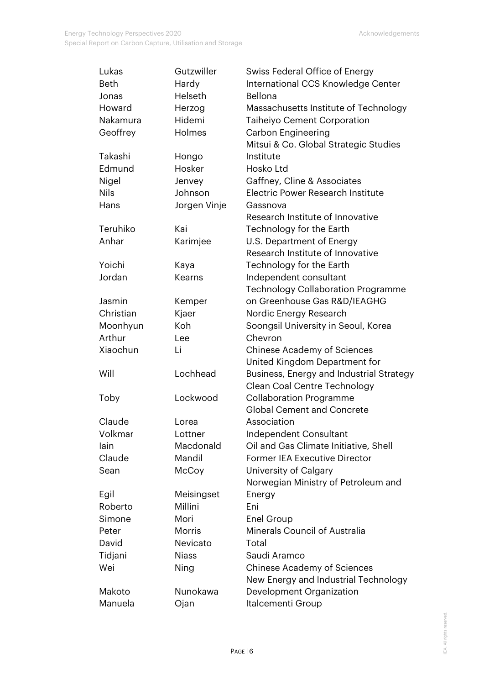| Lukas       | Gutzwiller    | Swiss Federal Office of Energy            |
|-------------|---------------|-------------------------------------------|
| <b>Beth</b> | Hardy         | International CCS Knowledge Center        |
| Jonas       | Helseth       | Bellona                                   |
| Howard      | Herzog        | Massachusetts Institute of Technology     |
| Nakamura    | Hidemi        | <b>Taiheiyo Cement Corporation</b>        |
| Geoffrey    | Holmes        | <b>Carbon Engineering</b>                 |
|             |               | Mitsui & Co. Global Strategic Studies     |
| Takashi     | Hongo         | Institute                                 |
| Edmund      | Hosker        | Hosko Ltd                                 |
| Nigel       | Jenvey        | Gaffney, Cline & Associates               |
| <b>Nils</b> | Johnson       | Electric Power Research Institute         |
| Hans        | Jorgen Vinje  | Gassnova                                  |
|             |               | Research Institute of Innovative          |
| Teruhiko    | Kai           | Technology for the Earth                  |
| Anhar       | Karimjee      | U.S. Department of Energy                 |
|             |               | Research Institute of Innovative          |
| Yoichi      | Kaya          | Technology for the Earth                  |
| Jordan      | <b>Kearns</b> | Independent consultant                    |
|             |               | <b>Technology Collaboration Programme</b> |
| Jasmin      | Kemper        | on Greenhouse Gas R&D/IEAGHG              |
| Christian   | Kjaer         | Nordic Energy Research                    |
| Moonhyun    | Koh           | Soongsil University in Seoul, Korea       |
| Arthur      | Lee           | Chevron                                   |
| Xiaochun    | Li            | <b>Chinese Academy of Sciences</b>        |
|             |               | United Kingdom Department for             |
| Will        | Lochhead      | Business, Energy and Industrial Strategy  |
|             |               | Clean Coal Centre Technology              |
| Toby        | Lockwood      | <b>Collaboration Programme</b>            |
|             |               | <b>Global Cement and Concrete</b>         |
| Claude      | Lorea         | Association                               |
| Volkmar     | Lottner       | Independent Consultant                    |
| lain        | Macdonald     | Oil and Gas Climate Initiative, Shell     |
| Claude      | Mandil        | <b>Former IEA Executive Director</b>      |
| Sean        | McCoy         | University of Calgary                     |
|             |               | Norwegian Ministry of Petroleum and       |
| Egil        | Meisingset    | Energy                                    |
| Roberto     | Millini       | Eni                                       |
| Simone      | Mori          | Enel Group                                |
| Peter       | <b>Morris</b> | Minerals Council of Australia             |
| David       | Nevicato      | Total                                     |
| Tidjani     | <b>Niass</b>  | Saudi Aramco                              |
| Wei         | Ning          | <b>Chinese Academy of Sciences</b>        |
|             |               | New Energy and Industrial Technology      |
| Makoto      | Nunokawa      | Development Organization                  |
| Manuela     | Ojan          | Italcementi Group                         |